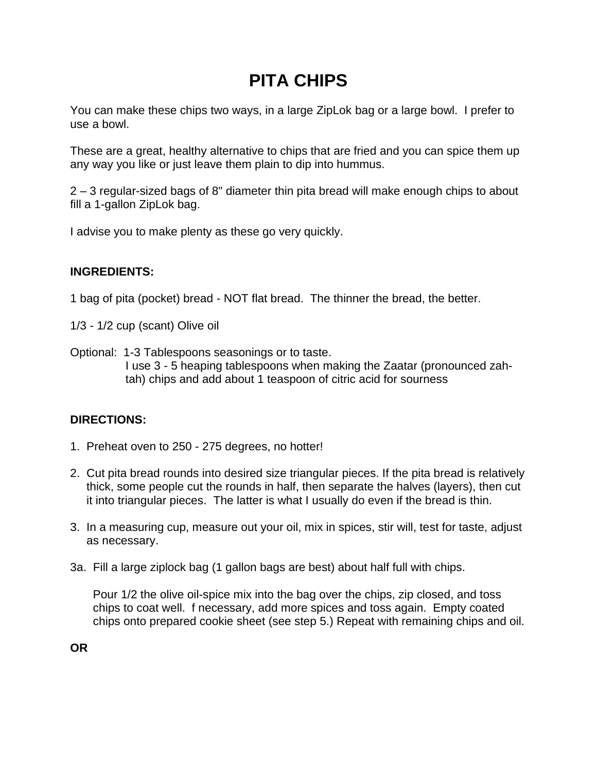# **PITA CHIPS**

You can make these chips two ways, in a large ZipLok bag or a large bowl. I prefer to use a bowl.

These are a great, healthy alternative to chips that are fried and you can spice them up any way you like or just leave them plain to dip into hummus.

2 – 3 regular-sized bags of 8" diameter thin pita bread will make enough chips to about fill a 1-gallon ZipLok bag.

I advise you to make plenty as these go very quickly.

# **INGREDIENTS:**

1 bag of pita (pocket) bread - NOT flat bread. The thinner the bread, the better.

1/3 - 1/2 cup (scant) Olive oil

Optional: 1-3 Tablespoons seasonings or to taste. I use 3 - 5 heaping tablespoons when making the Zaatar (pronounced zah tah) chips and add about 1 teaspoon of citric acid for sourness

# **DIRECTIONS:**

- 1. Preheat oven to 250 275 degrees, no hotter!
- 2. Cut pita bread rounds into desired size triangular pieces. If the pita bread is relatively thick, some people cut the rounds in half, then separate the halves (layers), then cut it into triangular pieces. The latter is what I usually do even if the bread is thin.
- 3. In a measuring cup, measure out your oil, mix in spices, stir will, test for taste, adjust as necessary.
- 3a. Fill a large ziplock bag (1 gallon bags are best) about half full with chips.

 Pour 1/2 the olive oil-spice mix into the bag over the chips, zip closed, and toss chips to coat well. f necessary, add more spices and toss again. Empty coated chips onto prepared cookie sheet (see step 5.) Repeat with remaining chips and oil.

**OR**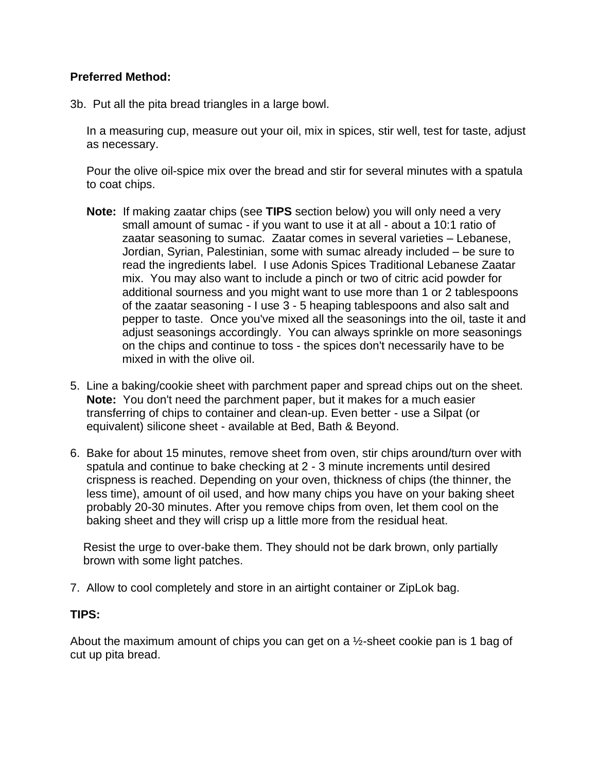## **Preferred Method:**

3b. Put all the pita bread triangles in a large bowl.

 In a measuring cup, measure out your oil, mix in spices, stir well, test for taste, adjust as necessary.

 Pour the olive oil-spice mix over the bread and stir for several minutes with a spatula to coat chips.

- **Note:** If making zaatar chips (see **TIPS** section below) you will only need a very small amount of sumac - if you want to use it at all - about a 10:1 ratio of zaatar seasoning to sumac. Zaatar comes in several varieties – Lebanese, Jordian, Syrian, Palestinian, some with sumac already included – be sure to read the ingredients label. I use Adonis Spices Traditional Lebanese Zaatar mix. You may also want to include a pinch or two of citric acid powder for additional sourness and you might want to use more than 1 or 2 tablespoons of the zaatar seasoning - I use 3 - 5 heaping tablespoons and also salt and pepper to taste. Once you've mixed all the seasonings into the oil, taste it and adjust seasonings accordingly. You can always sprinkle on more seasonings on the chips and continue to toss - the spices don't necessarily have to be mixed in with the olive oil.
- 5. Line a baking/cookie sheet with parchment paper and spread chips out on the sheet. **Note:** You don't need the parchment paper, but it makes for a much easier transferring of chips to container and clean-up. Even better - use a Silpat (or equivalent) silicone sheet - available at Bed, Bath & Beyond.
- 6. Bake for about 15 minutes, remove sheet from oven, stir chips around/turn over with spatula and continue to bake checking at 2 - 3 minute increments until desired crispness is reached. Depending on your oven, thickness of chips (the thinner, the less time), amount of oil used, and how many chips you have on your baking sheet probably 20-30 minutes. After you remove chips from oven, let them cool on the baking sheet and they will crisp up a little more from the residual heat.

 Resist the urge to over-bake them. They should not be dark brown, only partially brown with some light patches.

7. Allow to cool completely and store in an airtight container or ZipLok bag.

### **TIPS:**

About the maximum amount of chips you can get on a ½-sheet cookie pan is 1 bag of cut up pita bread.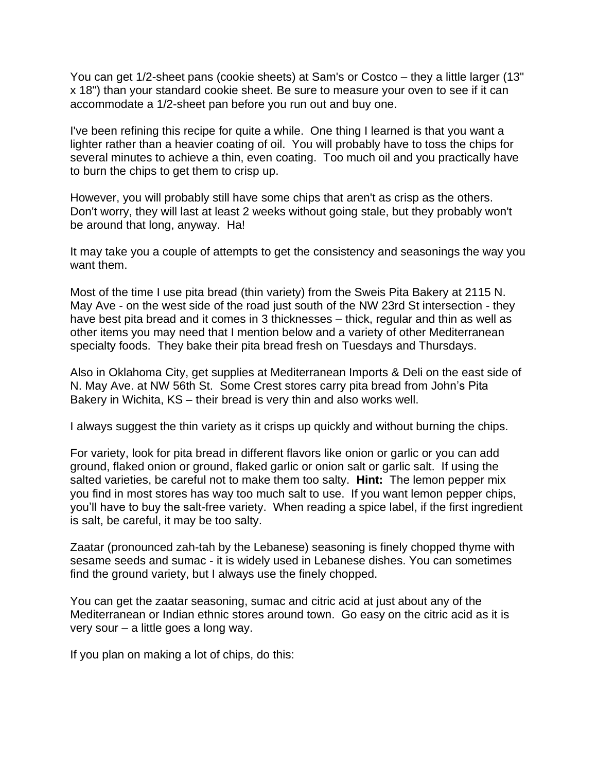You can get 1/2-sheet pans (cookie sheets) at Sam's or Costco – they a little larger (13" x 18") than your standard cookie sheet. Be sure to measure your oven to see if it can accommodate a 1/2-sheet pan before you run out and buy one.

I've been refining this recipe for quite a while. One thing I learned is that you want a lighter rather than a heavier coating of oil. You will probably have to toss the chips for several minutes to achieve a thin, even coating. Too much oil and you practically have to burn the chips to get them to crisp up.

However, you will probably still have some chips that aren't as crisp as the others. Don't worry, they will last at least 2 weeks without going stale, but they probably won't be around that long, anyway. Ha!

It may take you a couple of attempts to get the consistency and seasonings the way you want them.

Most of the time I use pita bread (thin variety) from the Sweis Pita Bakery at 2115 N. May Ave - on the west side of the road just south of the NW 23rd St intersection - they have best pita bread and it comes in 3 thicknesses – thick, regular and thin as well as other items you may need that I mention below and a variety of other Mediterranean specialty foods. They bake their pita bread fresh on Tuesdays and Thursdays.

Also in Oklahoma City, get supplies at Mediterranean Imports & Deli on the east side of N. May Ave. at NW 56th St. Some Crest stores carry pita bread from John's Pita Bakery in Wichita, KS – their bread is very thin and also works well.

I always suggest the thin variety as it crisps up quickly and without burning the chips.

For variety, look for pita bread in different flavors like onion or garlic or you can add ground, flaked onion or ground, flaked garlic or onion salt or garlic salt. If using the salted varieties, be careful not to make them too salty. **Hint:** The lemon pepper mix you find in most stores has way too much salt to use. If you want lemon pepper chips, you'll have to buy the salt-free variety. When reading a spice label, if the first ingredient is salt, be careful, it may be too salty.

Zaatar (pronounced zah-tah by the Lebanese) seasoning is finely chopped thyme with sesame seeds and sumac - it is widely used in Lebanese dishes. You can sometimes find the ground variety, but I always use the finely chopped.

You can get the zaatar seasoning, sumac and citric acid at just about any of the Mediterranean or Indian ethnic stores around town. Go easy on the citric acid as it is very sour – a little goes a long way.

If you plan on making a lot of chips, do this: